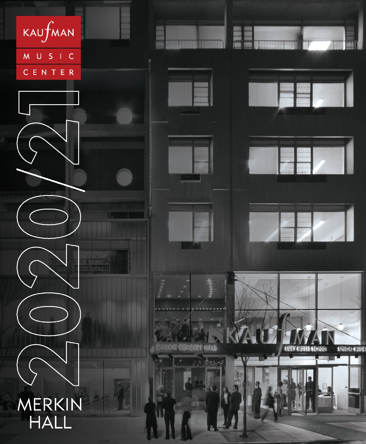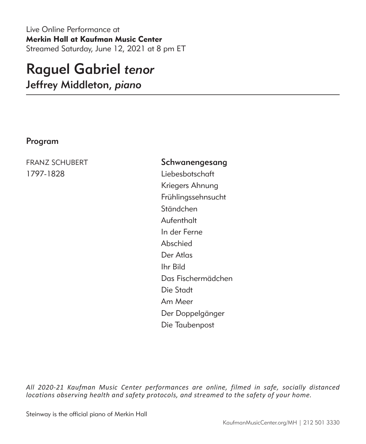Live Online Performance at Merkin Hall at Kaufman Music Center Streamed Saturday, June 12, 2021 at 8 pm ET

# Raguel Gabriel *tenor*

Jeffrey Middleton, *piano*

### Program

1797-1828 Liebesbotschaft

FRANZ SCHUBERT Schwanengesang Kriegers Ahnung Frühlingssehnsucht Ständchen Aufenthalt In der Ferne Abschied Der Atlas Ihr Bild Das Fischermädchen Die Stadt Am Meer Der Doppelgänger Die Taubenpost

*All 2020-21 Kaufman Music Center performances are online, filmed in safe, socially distanced locations observing health and safety protocols, and streamed to the safety of your home.*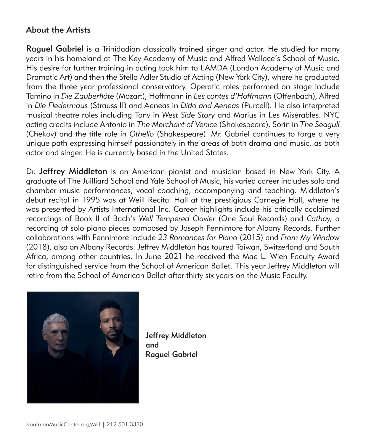## About the Artists

Raguel Gabriel is a Trinidadian classically trained singer and actor. He studied for many years in his homeland at The Key Academy of Music and Alfred Wallace's School of Music. His desire for further training in acting took him to LAMDA (London Academy of Music and Dramatic Art) and then the Stella Adler Studio of Acting (New York City), where he graduated from the three year professional conservatory. Operatic roles performed on stage include Tamino in *Die Zauberflöte* (Mozart), Hoffmann in *Les contes d'Hoffmann* (Offenbach), Alfred in *Die Fledermaus* (Strauss II) and Aeneas in *Dido and Aeneas* (Purcell). He also interpreted musical theatre roles including Tony in *West Side Story* and Marius in Les Misérables. NYC acting credits include Antonio in *The Merchant of Venice* (Shakespeare), Sorin in *The Seagull*  (Chekov) and the title role in *Othello* (Shakespeare). Mr. Gabriel continues to forge a very unique path expressing himself passionately in the areas of both drama and music, as both actor and singer. He is currently based in the United States.

Dr. Jeffrey Middleton is an American pianist and musician based in New York City. A graduate of The Juilliard School and Yale School of Music, his varied career includes solo and chamber music performances, vocal coaching, accompanying and teaching. Middleton's debut recital in 1995 was at Weill Recital Hall at the prestigious Carnegie Hall, where he was presented by Artists International Inc. Career highlights include his critically acclaimed recordings of Book II of Bach's *Well Tempered Clavier* (One Soul Records) and *Cathay,* a recording of solo piano pieces composed by Joseph Fennimore for Albany Records. Further collaborations with Fennimore include *23 Romances for Piano* (2015) and *From My Window* (2018), also on Albany Records. Jeffrey Middleton has toured Taiwan, Switzerland and South Africa, among other countries. In June 2021 he received the Mae L. Wien Faculty Award for distinguished service from the School of American Ballet. This year Jeffrey Middleton will retire from the School of American Ballet after thirty six years on the Music Faculty.



Jeffrey Middleton and Raguel Gabriel